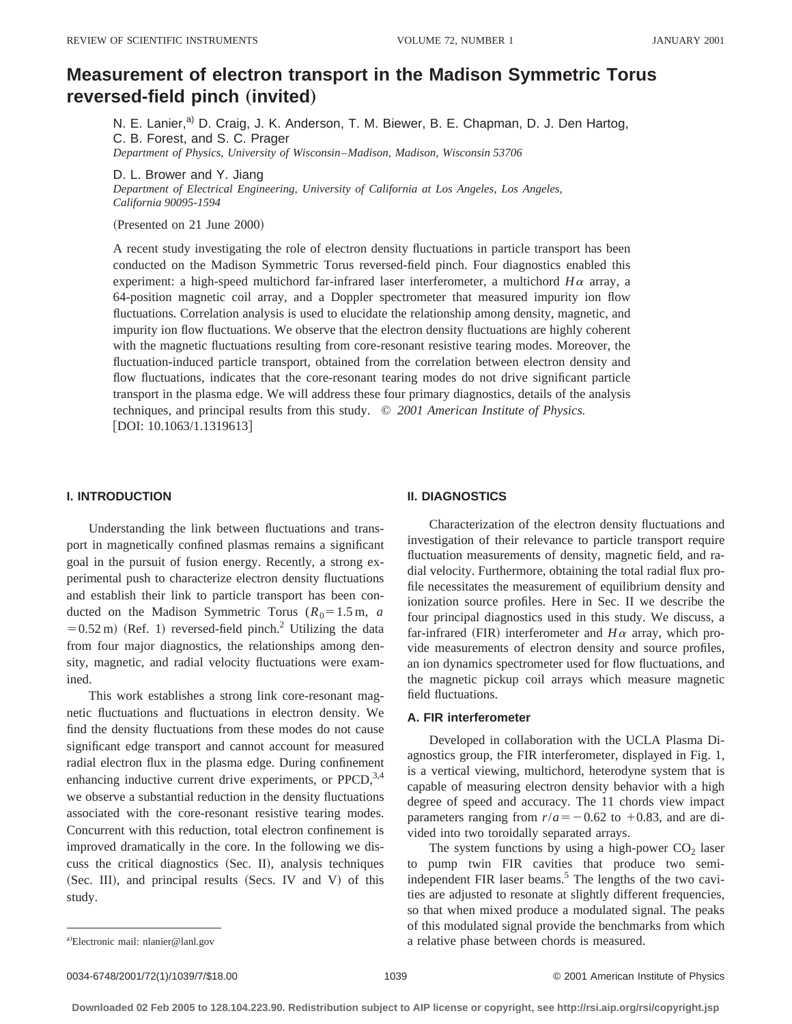# **Measurement of electron transport in the Madison Symmetric Torus**  $reversed-field pinch (invited)$

N. E. Lanier,<sup>a)</sup> D. Craig, J. K. Anderson, T. M. Biewer, B. E. Chapman, D. J. Den Hartog, C. B. Forest, and S. C. Prager *Department of Physics, University of Wisconsin*–*Madison, Madison, Wisconsin 53706*

D. L. Brower and Y. Jiang

*Department of Electrical Engineering, University of California at Los Angeles, Los Angeles, California 90095-1594*

(Presented on 21 June 2000)

A recent study investigating the role of electron density fluctuations in particle transport has been conducted on the Madison Symmetric Torus reversed-field pinch. Four diagnostics enabled this experiment: a high-speed multichord far-infrared laser interferometer, a multichord  $H\alpha$  array, a 64-position magnetic coil array, and a Doppler spectrometer that measured impurity ion flow fluctuations. Correlation analysis is used to elucidate the relationship among density, magnetic, and impurity ion flow fluctuations. We observe that the electron density fluctuations are highly coherent with the magnetic fluctuations resulting from core-resonant resistive tearing modes. Moreover, the fluctuation-induced particle transport, obtained from the correlation between electron density and flow fluctuations, indicates that the core-resonant tearing modes do not drive significant particle transport in the plasma edge. We will address these four primary diagnostics, details of the analysis techniques, and principal results from this study. © *2001 American Institute of Physics.* [DOI: 10.1063/1.1319613]

# **I. INTRODUCTION**

Understanding the link between fluctuations and transport in magnetically confined plasmas remains a significant goal in the pursuit of fusion energy. Recently, a strong experimental push to characterize electron density fluctuations and establish their link to particle transport has been conducted on the Madison Symmetric Torus ( $R_0 = 1.5$  m, *a*  $=0.52$  m) (Ref. 1) reversed-field pinch.<sup>2</sup> Utilizing the data from four major diagnostics, the relationships among density, magnetic, and radial velocity fluctuations were examined.

This work establishes a strong link core-resonant magnetic fluctuations and fluctuations in electron density. We find the density fluctuations from these modes do not cause significant edge transport and cannot account for measured radial electron flux in the plasma edge. During confinement enhancing inductive current drive experiments, or  $PPCD$ ,  $3,4$ we observe a substantial reduction in the density fluctuations associated with the core-resonant resistive tearing modes. Concurrent with this reduction, total electron confinement is improved dramatically in the core. In the following we discuss the critical diagnostics (Sec. II), analysis techniques  $(Sec. III)$ , and principal results  $(Secs. IV and V)$  of this study.

#### **II. DIAGNOSTICS**

Characterization of the electron density fluctuations and investigation of their relevance to particle transport require fluctuation measurements of density, magnetic field, and radial velocity. Furthermore, obtaining the total radial flux profile necessitates the measurement of equilibrium density and ionization source profiles. Here in Sec. II we describe the four principal diagnostics used in this study. We discuss, a far-infrared (FIR) interferometer and  $H\alpha$  array, which provide measurements of electron density and source profiles, an ion dynamics spectrometer used for flow fluctuations, and the magnetic pickup coil arrays which measure magnetic field fluctuations.

## **A. FIR interferometer**

Developed in collaboration with the UCLA Plasma Diagnostics group, the FIR interferometer, displayed in Fig. 1, is a vertical viewing, multichord, heterodyne system that is capable of measuring electron density behavior with a high degree of speed and accuracy. The 11 chords view impact parameters ranging from  $r/a = -0.62$  to  $+0.83$ , and are divided into two toroidally separated arrays.

The system functions by using a high-power  $CO<sub>2</sub>$  laser to pump twin FIR cavities that produce two semiindependent FIR laser beams.<sup>5</sup> The lengths of the two cavities are adjusted to resonate at slightly different frequencies, so that when mixed produce a modulated signal. The peaks of this modulated signal provide the benchmarks from which a relative phase between chords is measured.

a)Electronic mail: nlanier@lanl.gov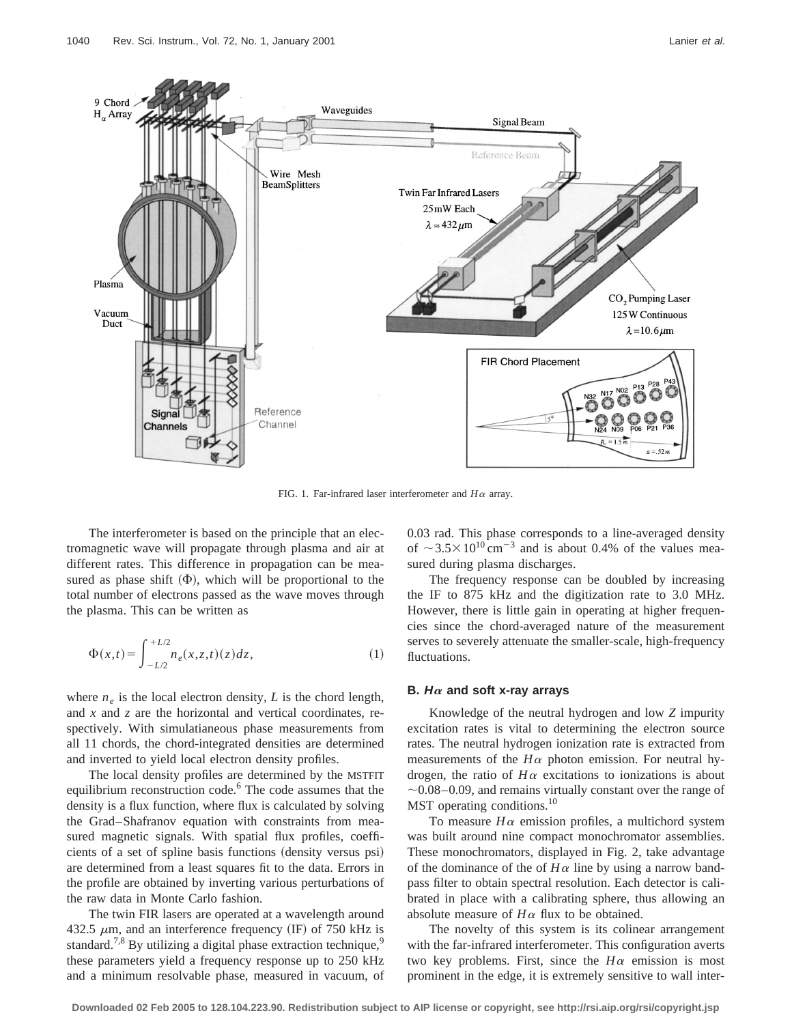

FIG. 1. Far-infrared laser interferometer and  $H\alpha$  array.

The interferometer is based on the principle that an electromagnetic wave will propagate through plasma and air at different rates. This difference in propagation can be measured as phase shift  $(\Phi)$ , which will be proportional to the total number of electrons passed as the wave moves through the plasma. This can be written as

$$
\Phi(x,t) = \int_{-L/2}^{+L/2} n_e(x,z,t)(z)dz,
$$
\n(1)

where  $n_e$  is the local electron density, *L* is the chord length, and *x* and *z* are the horizontal and vertical coordinates, respectively. With simulatianeous phase measurements from all 11 chords, the chord-integrated densities are determined and inverted to yield local electron density profiles.

The local density profiles are determined by the MSTFIT equilibrium reconstruction code.<sup>6</sup> The code assumes that the density is a flux function, where flux is calculated by solving the Grad–Shafranov equation with constraints from measured magnetic signals. With spatial flux profiles, coefficients of a set of spline basis functions (density versus psi) are determined from a least squares fit to the data. Errors in the profile are obtained by inverting various perturbations of the raw data in Monte Carlo fashion.

The twin FIR lasers are operated at a wavelength around 432.5  $\mu$ m, and an interference frequency (IF) of 750 kHz is standard.<sup>7,8</sup> By utilizing a digital phase extraction technique,<sup>9</sup> these parameters yield a frequency response up to 250 kHz and a minimum resolvable phase, measured in vacuum, of 0.03 rad. This phase corresponds to a line-averaged density of  $\sim$  3.5 $\times$ 10<sup>10</sup> cm<sup>-3</sup> and is about 0.4% of the values measured during plasma discharges.

The frequency response can be doubled by increasing the IF to 875 kHz and the digitization rate to 3.0 MHz. However, there is little gain in operating at higher frequencies since the chord-averaged nature of the measurement serves to severely attenuate the smaller-scale, high-frequency fluctuations.

#### **B.**  $H\alpha$  and soft x-ray arrays

Knowledge of the neutral hydrogen and low *Z* impurity excitation rates is vital to determining the electron source rates. The neutral hydrogen ionization rate is extracted from measurements of the  $H\alpha$  photon emission. For neutral hydrogen, the ratio of  $H\alpha$  excitations to ionizations is about  $\sim$ 0.08–0.09, and remains virtually constant over the range of MST operating conditions.<sup>10</sup>

To measure  $H\alpha$  emission profiles, a multichord system was built around nine compact monochromator assemblies. These monochromators, displayed in Fig. 2, take advantage of the dominance of the of  $H\alpha$  line by using a narrow bandpass filter to obtain spectral resolution. Each detector is calibrated in place with a calibrating sphere, thus allowing an absolute measure of  $H\alpha$  flux to be obtained.

The novelty of this system is its colinear arrangement with the far-infrared interferometer. This configuration averts two key problems. First, since the  $H\alpha$  emission is most prominent in the edge, it is extremely sensitive to wall inter-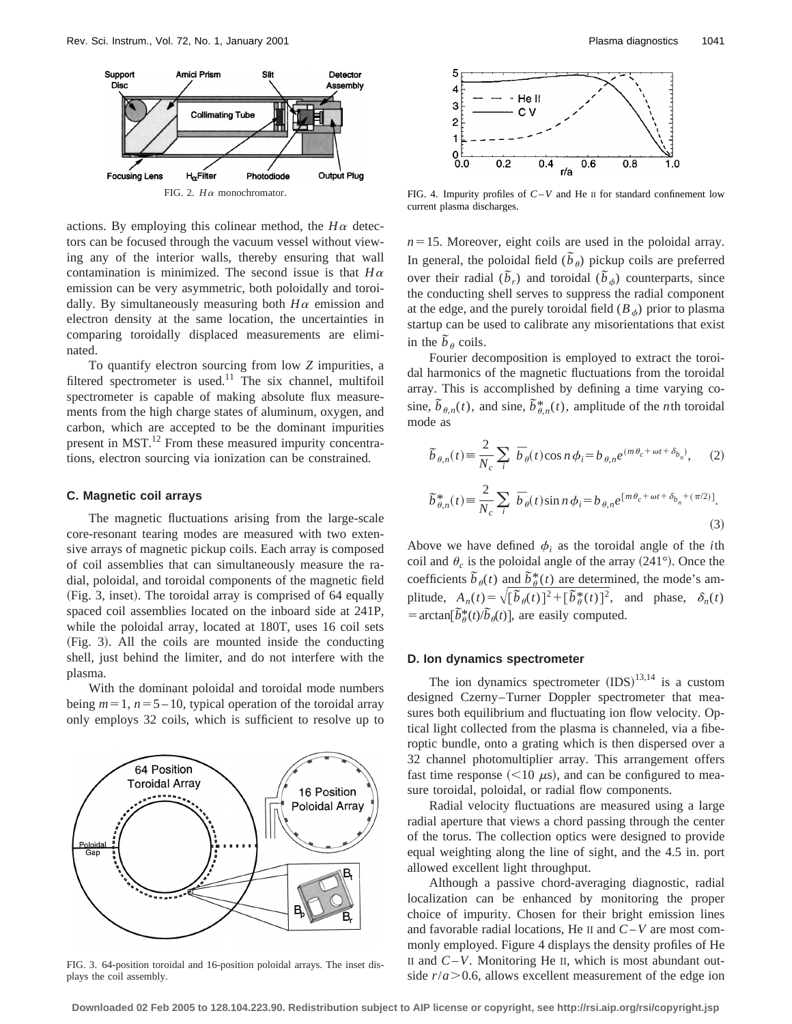

actions. By employing this colinear method, the  $H\alpha$  detectors can be focused through the vacuum vessel without viewing any of the interior walls, thereby ensuring that wall contamination is minimized. The second issue is that  $H\alpha$ emission can be very asymmetric, both poloidally and toroidally. By simultaneously measuring both  $H\alpha$  emission and electron density at the same location, the uncertainties in comparing toroidally displaced measurements are eliminated.

To quantify electron sourcing from low *Z* impurities, a filtered spectrometer is used.<sup>11</sup> The six channel, multifoil spectrometer is capable of making absolute flux measurements from the high charge states of aluminum, oxygen, and carbon, which are accepted to be the dominant impurities present in MST.<sup>12</sup> From these measured impurity concentrations, electron sourcing via ionization can be constrained.

#### **C. Magnetic coil arrays**

The magnetic fluctuations arising from the large-scale core-resonant tearing modes are measured with two extensive arrays of magnetic pickup coils. Each array is composed of coil assemblies that can simultaneously measure the radial, poloidal, and toroidal components of the magnetic field (Fig. 3, inset). The toroidal array is comprised of 64 equally spaced coil assemblies located on the inboard side at 241P, while the poloidal array, located at 180T, uses 16 coil sets (Fig. 3). All the coils are mounted inside the conducting shell, just behind the limiter, and do not interfere with the plasma.

With the dominant poloidal and toroidal mode numbers being  $m=1$ ,  $n=5-10$ , typical operation of the toroidal array only employs 32 coils, which is sufficient to resolve up to



FIG. 3. 64-position toroidal and 16-position poloidal arrays. The inset displays the coil assembly.



FIG. 4. Impurity profiles of *C*–*V* and He II for standard confinement low current plasma discharges.

 $n=15$ . Moreover, eight coils are used in the poloidal array. In general, the poloidal field  $(\tilde{b}_{\theta})$  pickup coils are preferred over their radial  $(\tilde{b}_r)$  and toroidal  $(\tilde{b}_{\phi})$  counterparts, since the conducting shell serves to suppress the radial component at the edge, and the purely toroidal field  $(B_{\phi})$  prior to plasma startup can be used to calibrate any misorientations that exist in the  $\tilde{b}_{\theta}$  coils.

Fourier decomposition is employed to extract the toroidal harmonics of the magnetic fluctuations from the toroidal array. This is accomplished by defining a time varying cosine,  $\tilde{b}_{\theta,n}(t)$ , and sine,  $\tilde{b}_{\theta,n}^*(t)$ , amplitude of the *n*th toroidal mode as

$$
\widetilde{b}_{\theta,n}(t) = \frac{2}{N_c} \sum_{i} \overline{b}_{\theta}(t) \cos n \phi_i = b_{\theta,n} e^{(m\theta_c + \omega t + \delta_{b_n})}, \quad (2)
$$
  

$$
\widetilde{b}_{\theta,n}^*(t) = \frac{2}{N_c} \sum_{i} \overline{b}_{\theta}(t) \sin n \phi_i = b_{\theta,n} e^{[m\theta_c + \omega t + \delta_{b_n} + (\pi/2)]}.
$$

Above we have defined  $\phi_i$  as the toroidal angle of the *i*th coil and  $\theta_c$  is the poloidal angle of the array (241°). Once the coefficients  $\tilde{b}_{\theta}(t)$  and  $\tilde{b}_{\theta}^{*}(t)$  are determined, the mode's amplitude,  $A_n(t) = \sqrt{\left[\tilde{b}_{\theta}(t)\right]^2 + \left[\tilde{b}_{\theta}^*(t)\right]^2}$ , and phase,  $\delta_n(t)$  $\lim_{h \to 0} \left[ \frac{\partial^2 f}{\partial \theta} (t) / \overline{b}_h(t) \right]$ , are easily computed.

#### **D. Ion dynamics spectrometer**

The ion dynamics spectrometer  $(IDS)^{13,14}$  is a custom designed Czerny–Turner Doppler spectrometer that measures both equilibrium and fluctuating ion flow velocity. Optical light collected from the plasma is channeled, via a fiberoptic bundle, onto a grating which is then dispersed over a 32 channel photomultiplier array. This arrangement offers fast time response  $(<10 \mu s$ ), and can be configured to measure toroidal, poloidal, or radial flow components.

Radial velocity fluctuations are measured using a large radial aperture that views a chord passing through the center of the torus. The collection optics were designed to provide equal weighting along the line of sight, and the 4.5 in. port allowed excellent light throughput.

Although a passive chord-averaging diagnostic, radial localization can be enhanced by monitoring the proper choice of impurity. Chosen for their bright emission lines and favorable radial locations, He II and *C*–*V* are most commonly employed. Figure 4 displays the density profiles of He II and  $C-V$ . Monitoring He II, which is most abundant outside  $r/a$  > 0.6, allows excellent measurement of the edge ion

**Downloaded 02 Feb 2005 to 128.104.223.90. Redistribution subject to AIP license or copyright, see http://rsi.aip.org/rsi/copyright.jsp**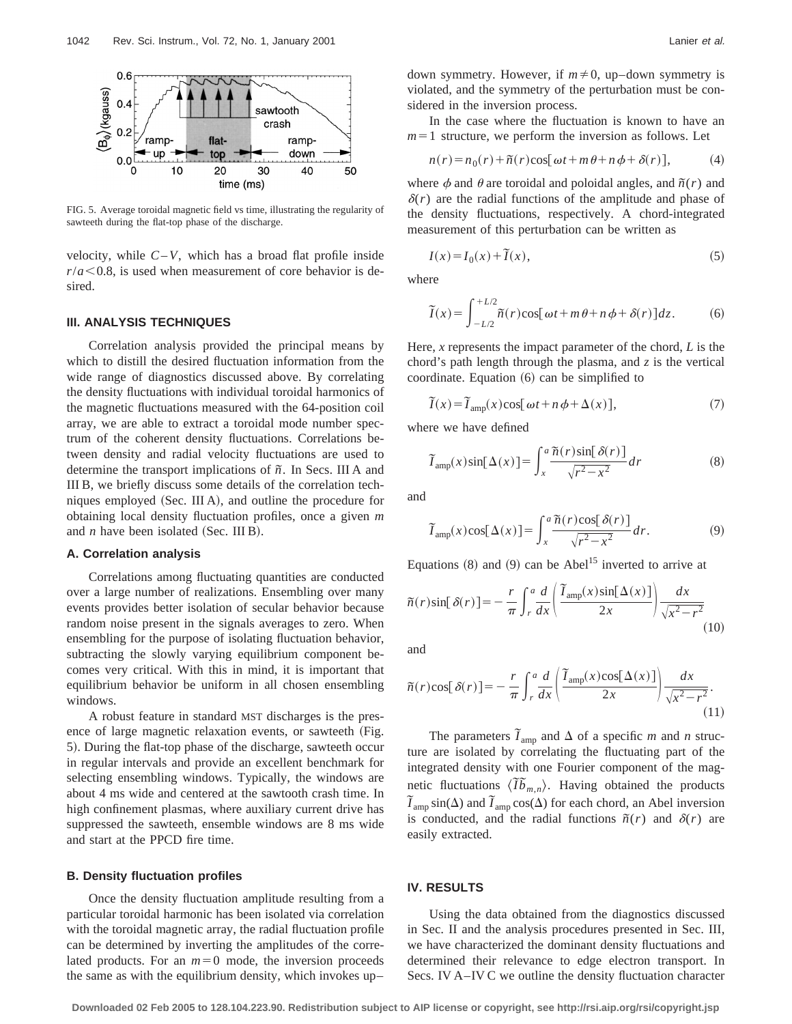

FIG. 5. Average toroidal magnetic field vs time, illustrating the regularity of sawteeth during the flat-top phase of the discharge.

velocity, while  $C-V$ , which has a broad flat profile inside  $r/a$  < 0.8, is used when measurement of core behavior is desired.

#### **III. ANALYSIS TECHNIQUES**

Correlation analysis provided the principal means by which to distill the desired fluctuation information from the wide range of diagnostics discussed above. By correlating the density fluctuations with individual toroidal harmonics of the magnetic fluctuations measured with the 64-position coil array, we are able to extract a toroidal mode number spectrum of the coherent density fluctuations. Correlations between density and radial velocity fluctuations are used to determine the transport implications of *˜n*. In Secs. III A and III B, we briefly discuss some details of the correlation techniques employed  $(Sec. III A)$ , and outline the procedure for obtaining local density fluctuation profiles, once a given *m* and  $n$  have been isolated (Sec. III B).

# **A. Correlation analysis**

Correlations among fluctuating quantities are conducted over a large number of realizations. Ensembling over many events provides better isolation of secular behavior because random noise present in the signals averages to zero. When ensembling for the purpose of isolating fluctuation behavior, subtracting the slowly varying equilibrium component becomes very critical. With this in mind, it is important that equilibrium behavior be uniform in all chosen ensembling windows.

A robust feature in standard MST discharges is the presence of large magnetic relaxation events, or sawteeth (Fig. 5). During the flat-top phase of the discharge, sawteeth occur in regular intervals and provide an excellent benchmark for selecting ensembling windows. Typically, the windows are about 4 ms wide and centered at the sawtooth crash time. In high confinement plasmas, where auxiliary current drive has suppressed the sawteeth, ensemble windows are 8 ms wide and start at the PPCD fire time.

#### **B. Density fluctuation profiles**

Once the density fluctuation amplitude resulting from a particular toroidal harmonic has been isolated via correlation with the toroidal magnetic array, the radial fluctuation profile can be determined by inverting the amplitudes of the correlated products. For an  $m=0$  mode, the inversion proceeds the same as with the equilibrium density, which invokes up–

down symmetry. However, if  $m \neq 0$ , up–down symmetry is violated, and the symmetry of the perturbation must be considered in the inversion process.

In the case where the fluctuation is known to have an  $m=1$  structure, we perform the inversion as follows. Let

$$
n(r) = n_0(r) + \tilde{n}(r)\cos[\omega t + m\theta + n\phi + \delta(r)],
$$
 (4)

where  $\phi$  and  $\theta$  are toroidal and poloidal angles, and  $\tilde{n}(r)$  and  $\delta(r)$  are the radial functions of the amplitude and phase of the density fluctuations, respectively. A chord-integrated measurement of this perturbation can be written as

$$
I(x) = I_0(x) + \tilde{I}(x),\tag{5}
$$

where

$$
\widetilde{I}(x) = \int_{-L/2}^{+L/2} \widetilde{n}(r) \cos[\omega t + m\theta + n\phi + \delta(r)] dz.
$$
 (6)

Here, *x* represents the impact parameter of the chord, *L* is the chord's path length through the plasma, and *z* is the vertical coordinate. Equation  $(6)$  can be simplified to

$$
\tilde{I}(x) = \tilde{I}_{\text{amp}}(x) \cos[\omega t + n\phi + \Delta(x)],\tag{7}
$$

where we have defined

$$
\widetilde{I}_{\text{amp}}(x)\sin[\Delta(x)] = \int_{x}^{a} \frac{\widetilde{n}(r)\sin[\delta(r)]}{\sqrt{r^2 - x^2}} dr \tag{8}
$$

and

$$
\widetilde{I}_{\text{amp}}(x)\cos[\Delta(x)] = \int_{x}^{a} \frac{\widetilde{n}(r)\cos[\delta(r)]}{\sqrt{r^2 - x^2}} dr.
$$
 (9)

Equations  $(8)$  and  $(9)$  can be Abel<sup>15</sup> inverted to arrive at

$$
\tilde{n}(r)\sin[\delta(r)] = -\frac{r}{\pi} \int_{r}^{a} \frac{d}{dx} \left( \frac{\tilde{I}_{\text{amp}}(x)\sin[\Delta(x)]}{2x} \right) \frac{dx}{\sqrt{x^{2}-r^{2}}} \tag{10}
$$

and

$$
\tilde{n}(r)\cos[\delta(r)] = -\frac{r}{\pi} \int_r^a \frac{d}{dx} \left( \frac{\tilde{I}_{\text{amp}}(x)\cos[\Delta(x)]}{2x} \right) \frac{dx}{\sqrt{x^2 - r^2}}.
$$
\n(11)

The parameters  $\tilde{I}_{\text{amp}}$  and  $\Delta$  of a specific *m* and *n* structure are isolated by correlating the fluctuating part of the integrated density with one Fourier component of the magnetic fluctuations  $\langle \tilde{I} \tilde{b}_{m,n} \rangle$ . Having obtained the products  $\widetilde{I}_{\text{amp}}\sin(\Delta)$  and  $\widetilde{I}_{\text{amp}}\cos(\Delta)$  for each chord, an Abel inversion is conducted, and the radial functions  $\tilde{n}(r)$  and  $\delta(r)$  are easily extracted.

#### **IV. RESULTS**

Using the data obtained from the diagnostics discussed in Sec. II and the analysis procedures presented in Sec. III, we have characterized the dominant density fluctuations and determined their relevance to edge electron transport. In Secs. IV A–IV C we outline the density fluctuation character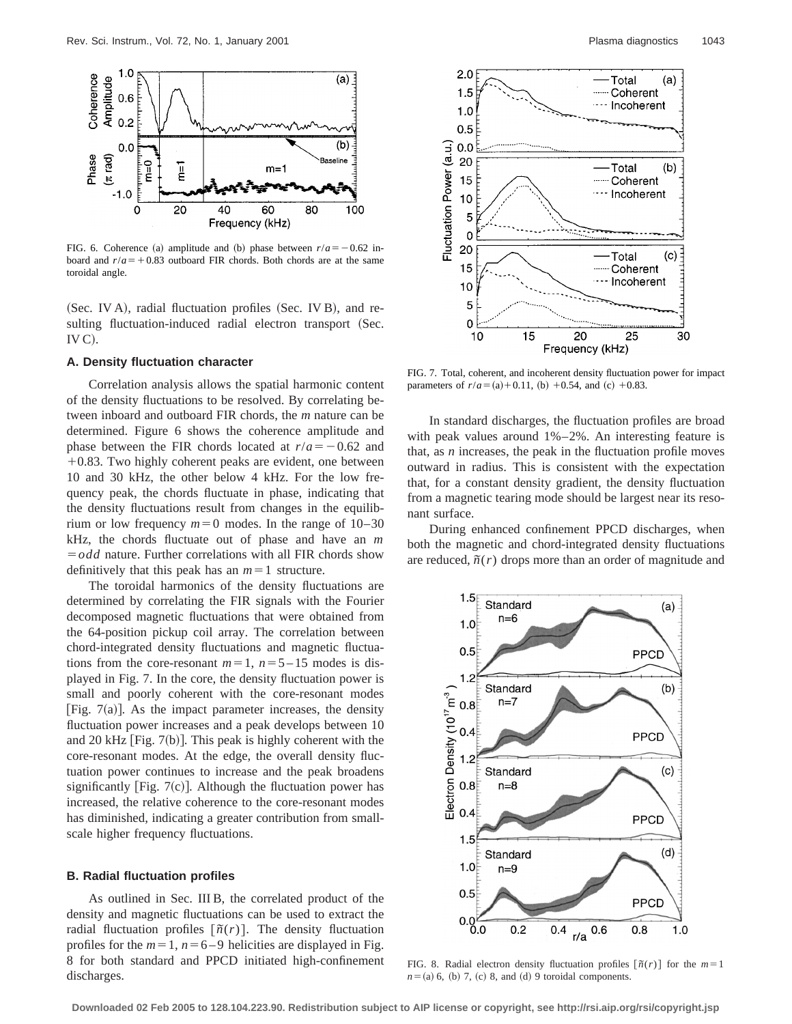

FIG. 6. Coherence (a) amplitude and (b) phase between  $r/a = -0.62$  inboard and  $r/a = +0.83$  outboard FIR chords. Both chords are at the same toroidal angle.

(Sec. IV A), radial fluctuation profiles (Sec. IV B), and resulting fluctuation-induced radial electron transport (Sec.  $IV<sub>C</sub>$ .

#### **A. Density fluctuation character**

Correlation analysis allows the spatial harmonic content of the density fluctuations to be resolved. By correlating between inboard and outboard FIR chords, the *m* nature can be determined. Figure 6 shows the coherence amplitude and phase between the FIR chords located at  $r/a = -0.62$  and  $+0.83$ . Two highly coherent peaks are evident, one between 10 and 30 kHz, the other below 4 kHz. For the low frequency peak, the chords fluctuate in phase, indicating that the density fluctuations result from changes in the equilibrium or low frequency  $m=0$  modes. In the range of  $10-30$ kHz, the chords fluctuate out of phase and have an *m*  $=$ *odd* nature. Further correlations with all FIR chords show definitively that this peak has an  $m=1$  structure.

The toroidal harmonics of the density fluctuations are determined by correlating the FIR signals with the Fourier decomposed magnetic fluctuations that were obtained from the 64-position pickup coil array. The correlation between chord-integrated density fluctuations and magnetic fluctuations from the core-resonant  $m=1$ ,  $n=5-15$  modes is displayed in Fig. 7. In the core, the density fluctuation power is small and poorly coherent with the core-resonant modes [Fig.  $7(a)$ ]. As the impact parameter increases, the density fluctuation power increases and a peak develops between 10 and 20 kHz [Fig.  $7(b)$ ]. This peak is highly coherent with the core-resonant modes. At the edge, the overall density fluctuation power continues to increase and the peak broadens significantly [Fig.  $7(c)$ ]. Although the fluctuation power has increased, the relative coherence to the core-resonant modes has diminished, indicating a greater contribution from smallscale higher frequency fluctuations.

#### **B. Radial fluctuation profiles**

As outlined in Sec. III B, the correlated product of the density and magnetic fluctuations can be used to extract the radial fluctuation profiles  $\lceil \tilde{n}(r) \rceil$ . The density fluctuation profiles for the  $m=1$ ,  $n=6-9$  helicities are displayed in Fig. 8 for both standard and PPCD initiated high-confinement discharges.



FIG. 7. Total, coherent, and incoherent density fluctuation power for impact parameters of  $r/a = (a) + 0.11$ , (b)  $+0.54$ , and (c)  $+0.83$ .

In standard discharges, the fluctuation profiles are broad with peak values around 1%–2%. An interesting feature is that, as *n* increases, the peak in the fluctuation profile moves outward in radius. This is consistent with the expectation that, for a constant density gradient, the density fluctuation from a magnetic tearing mode should be largest near its resonant surface.

During enhanced confinement PPCD discharges, when both the magnetic and chord-integrated density fluctuations are reduced,  $\tilde{n}(r)$  drops more than an order of magnitude and



FIG. 8. Radial electron density fluctuation profiles  $[\tilde{n}(r)]$  for the  $m=1$  $n=(a)$  6, (b) 7, (c) 8, and (d) 9 toroidal components.

**Downloaded 02 Feb 2005 to 128.104.223.90. Redistribution subject to AIP license or copyright, see http://rsi.aip.org/rsi/copyright.jsp**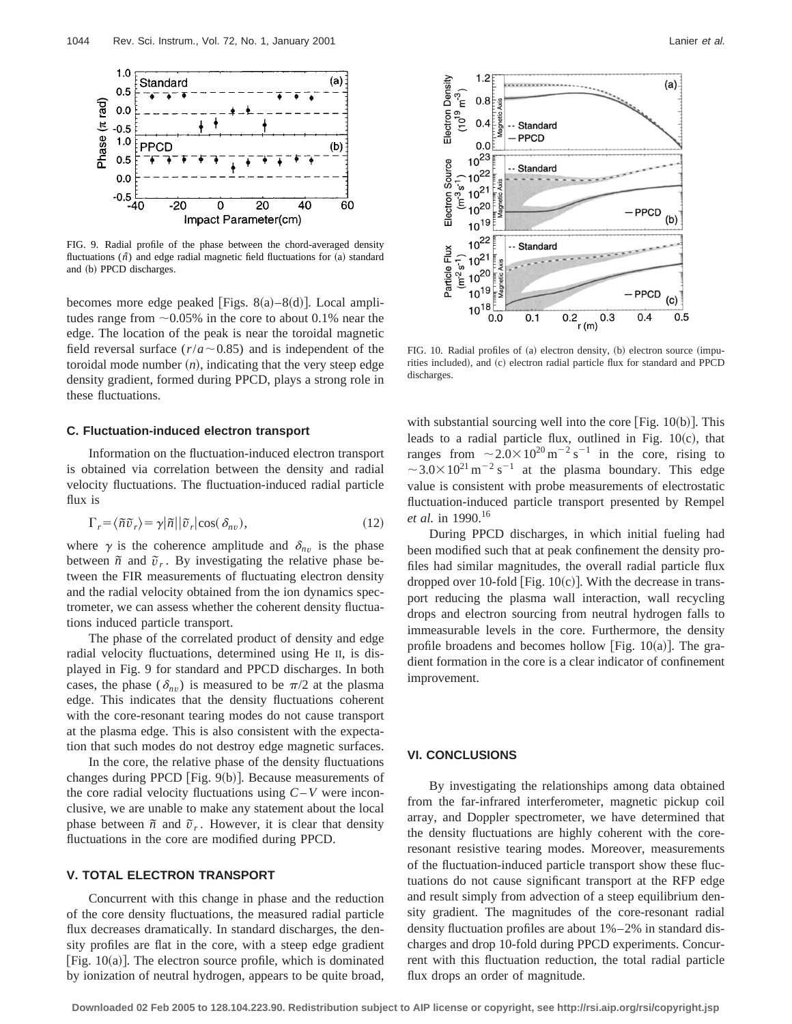

FIG. 9. Radial profile of the phase between the chord-averaged density fluctuations  $(\tilde{n})$  and edge radial magnetic field fluctuations for (a) standard and (b) PPCD discharges.

becomes more edge peaked [Figs.  $8(a) - 8(d)$ ]. Local amplitudes range from  $\sim 0.05\%$  in the core to about 0.1% near the edge. The location of the peak is near the toroidal magnetic field reversal surface  $(r/a \sim 0.85)$  and is independent of the toroidal mode number  $(n)$ , indicating that the very steep edge density gradient, formed during PPCD, plays a strong role in these fluctuations.

## **C. Fluctuation-induced electron transport**

Information on the fluctuation-induced electron transport is obtained via correlation between the density and radial velocity fluctuations. The fluctuation-induced radial particle flux is

$$
\Gamma_r = \langle \tilde{n}\tilde{v}_r \rangle = \gamma |\tilde{n}| |\tilde{v}_r| \cos(\delta_{nv}), \qquad (12)
$$

where  $\gamma$  is the coherence amplitude and  $\delta_{nv}$  is the phase between  $\tilde{n}$  and  $\tilde{v}_r$ . By investigating the relative phase between the FIR measurements of fluctuating electron density and the radial velocity obtained from the ion dynamics spectrometer, we can assess whether the coherent density fluctuations induced particle transport.

The phase of the correlated product of density and edge radial velocity fluctuations, determined using He II, is displayed in Fig. 9 for standard and PPCD discharges. In both cases, the phase  $(\delta_{nn})$  is measured to be  $\pi/2$  at the plasma edge. This indicates that the density fluctuations coherent with the core-resonant tearing modes do not cause transport at the plasma edge. This is also consistent with the expectation that such modes do not destroy edge magnetic surfaces.

In the core, the relative phase of the density fluctuations changes during PPCD  $[Fig. 9(b)]$ . Because measurements of the core radial velocity fluctuations using *C*–*V* were inconclusive, we are unable to make any statement about the local phase between  $\tilde{n}$  and  $\tilde{v}_r$ . However, it is clear that density fluctuations in the core are modified during PPCD.

# **V. TOTAL ELECTRON TRANSPORT**

Concurrent with this change in phase and the reduction of the core density fluctuations, the measured radial particle flux decreases dramatically. In standard discharges, the density profiles are flat in the core, with a steep edge gradient [Fig.  $10(a)$ ]. The electron source profile, which is dominated by ionization of neutral hydrogen, appears to be quite broad,



FIG. 10. Radial profiles of  $(a)$  electron density,  $(b)$  electron source  $(impu$ rities included), and (c) electron radial particle flux for standard and PPCD discharges.

with substantial sourcing well into the core  $|Fig. 10(b)|$ . This leads to a radial particle flux, outlined in Fig.  $10(c)$ , that ranges from  $\sim 2.0 \times 10^{20} \,\mathrm{m}^{-2} \,\mathrm{s}^{-1}$  in the core, rising to  $\sim$  3.0 $\times$  10<sup>21</sup> m<sup>-2</sup> s<sup>-1</sup> at the plasma boundary. This edge value is consistent with probe measurements of electrostatic fluctuation-induced particle transport presented by Rempel *et al.* in 1990.<sup>16</sup>

During PPCD discharges, in which initial fueling had been modified such that at peak confinement the density profiles had similar magnitudes, the overall radial particle flux dropped over 10-fold [Fig.  $10(c)$ ]. With the decrease in transport reducing the plasma wall interaction, wall recycling drops and electron sourcing from neutral hydrogen falls to immeasurable levels in the core. Furthermore, the density profile broadens and becomes hollow [Fig.  $10(a)$ ]. The gradient formation in the core is a clear indicator of confinement improvement.

# **VI. CONCLUSIONS**

By investigating the relationships among data obtained from the far-infrared interferometer, magnetic pickup coil array, and Doppler spectrometer, we have determined that the density fluctuations are highly coherent with the coreresonant resistive tearing modes. Moreover, measurements of the fluctuation-induced particle transport show these fluctuations do not cause significant transport at the RFP edge and result simply from advection of a steep equilibrium density gradient. The magnitudes of the core-resonant radial density fluctuation profiles are about 1%–2% in standard discharges and drop 10-fold during PPCD experiments. Concurrent with this fluctuation reduction, the total radial particle flux drops an order of magnitude.